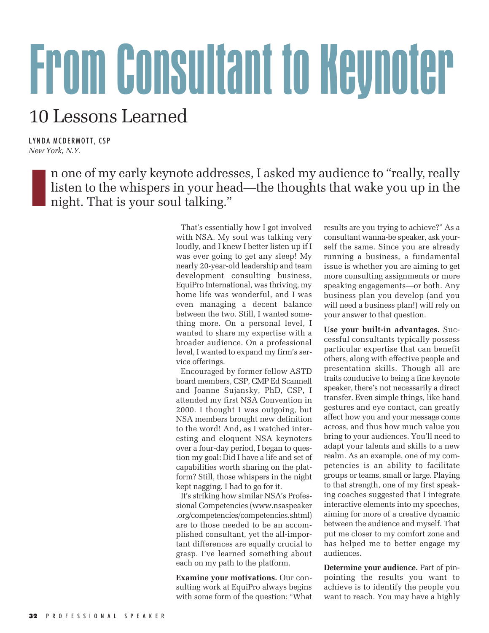## From Consultant to Keynoter

## 10 Lessons Learned

LYNDA MCDERMOTT, CSP *New York, N.Y.*

I n one of my early keynote addresses, I asked my audience to "really, really listen to the whispers in your head—the thoughts that wake you up in the night. That is your soul talking."

> That's essentially how I got involved with NSA. My soul was talking very loudly, and I knew I better listen up if I was ever going to get any sleep! My nearly 20-year-old leadership and team development consulting business, EquiPro International, was thriving, my home life was wonderful, and I was even managing a decent balance between the two. Still, I wanted something more. On a personal level, I wanted to share my expertise with a broader audience. On a professional level, I wanted to expand my firm's service offerings.

> Encouraged by former fellow ASTD board members, CSP, CMP Ed Scannell and Joanne Sujansky, PhD, CSP, I attended my first NSA Convention in 2000. I thought I was outgoing, but NSA members brought new definition to the word! And, as I watched interesting and eloquent NSA keynoters over a four-day period, I began to question my goal: Did I have a life and set of capabilities worth sharing on the platform? Still, those whispers in the night kept nagging. I had to go for it.

> It's striking how similar NSA's Professional Competencies (www.nsaspeaker .org/competencies/competencies.shtml) are to those needed to be an accomplished consultant, yet the all-important differences are equally crucial to grasp. I've learned something about each on my path to the platform.

> **Examine your motivations.** Our consulting work at EquiPro always begins with some form of the question: "What

results are you trying to achieve?" As a consultant wanna-be speaker, ask yourself the same. Since you are already running a business, a fundamental issue is whether you are aiming to get more consulting assignments or more speaking engagements—or both. Any business plan you develop (and you will need a business plan!) will rely on your answer to that question.

**Use your built-in advantages.** Successful consultants typically possess particular expertise that can benefit others, along with effective people and presentation skills. Though all are traits conducive to being a fine keynote speaker, there's not necessarily a direct transfer. Even simple things, like hand gestures and eye contact, can greatly affect how you and your message come across, and thus how much value you bring to your audiences. You'll need to adapt your talents and skills to a new realm. As an example, one of my competencies is an ability to facilitate groups or teams, small or large. Playing to that strength, one of my first speaking coaches suggested that I integrate interactive elements into my speeches, aiming for more of a creative dynamic between the audience and myself. That put me closer to my comfort zone and has helped me to better engage my audiences.

**Determine your audience.** Part of pinpointing the results you want to achieve is to identify the people you want to reach. You may have a highly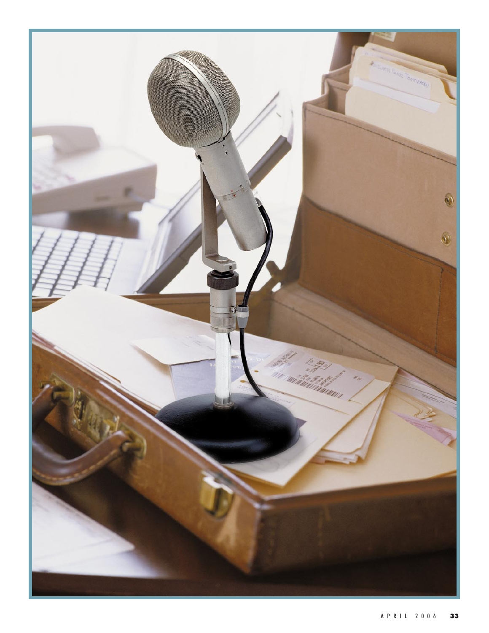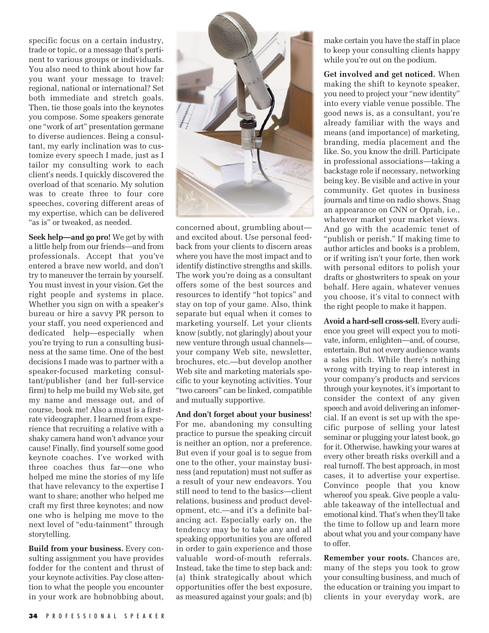specific focus on a certain industry, trade or topic, or a message that's pertinent to various groups or individuals. You also need to think about how far you want your message to travel: regional, national or international? Set both immediate and stretch goals. Then, tie those goals into the keynotes you compose. Some speakers generate one "work of art" presentation germane to diverse audiences. Being a consultant, my early inclination was to customize every speech I made, just as I tailor my consulting work to each client's needs. I quickly discovered the overload of that scenario. My solution was to create three to four core speeches, covering different areas of my expertise, which can be delivered "as is" or tweaked, as needed.

**Seek help—and go pro!** We get by with a little help from our friends—and from professionals. Accept that you've entered a brave new world, and don't try to maneuver the terrain by yourself. You must invest in your vision. Get the right people and systems in place. Whether you sign on with a speaker's bureau or hire a savvy PR person to your staff, you need experienced and dedicated help—especially when you're trying to run a consulting business at the same time. One of the best decisions I made was to partner with a speaker-focused marketing consultant/publisher (and her full-service firm) to help me build my Web site, get my name and message out, and of course, book me! Also a must is a firstrate videographer. I learned from experience that recruiting a relative with a shaky camera hand won't advance your cause! Finally, find yourself some good keynote coaches. I've worked with three coaches thus far—one who helped me mine the stories of my life that have relevancy to the expertise I want to share; another who helped me craft my first three keynotes; and now one who is helping me move to the next level of "edu-tainment" through storytelling.

**Build from your business.** Every consulting assignment you have provides fodder for the content and thrust of your keynote activities. Pay close attention to what the people you encounter in your work are hobnobbing about,



concerned about, grumbling about and excited about. Use personal feedback from your clients to discern areas where you have the most impact and to identify distinctive strengths and skills. The work you're doing as a consultant offers some of the best sources and resources to identify "hot topics" and stay on top of your game. Also, think separate but equal when it comes to marketing yourself. Let your clients know (subtly, not glaringly) about your new venture through usual channels your company Web site, newsletter, brochures, etc.—but develop another Web site and marketing materials specific to your keynoting activities. Your "two careers" can be linked, compatible and mutually supportive.

**And don't forget about your business!** For me, abandoning my consulting practice to pursue the speaking circuit is neither an option, nor a preference. But even if your goal is to segue from one to the other, your mainstay business (and reputation) must not suffer as a result of your new endeavors. You still need to tend to the basics—client relations, business and product development, etc.—and it's a definite balancing act. Especially early on, the tendency may be to take any and all speaking opportunities you are offered in order to gain experience and those valuable word-of-mouth referrals. Instead, take the time to step back and: (a) think strategically about which opportunities offer the best exposure, as measured against your goals; and (b)

make certain you have the staff in place to keep your consulting clients happy while you're out on the podium.

**Get involved and get noticed.** When making the shift to keynote speaker, you need to project your "new identity" into every viable venue possible. The good news is, as a consultant, you're already familiar with the ways and means (and importance) of marketing, branding, media placement and the like. So, you know the drill. Participate in professional associations—taking a backstage role if necessary, networking being key. Be visible and active in your community. Get quotes in business journals and time on radio shows. Snag an appearance on CNN or Oprah, i.e., whatever market your market views. And go with the academic tenet of "publish or perish." If making time to author articles and books is a problem, or if writing isn't your forte, then work with personal editors to polish your drafts or ghostwriters to speak on your behalf. Here again, whatever venues you choose, it's vital to connect with the right people to make it happen.

**Avoid a hard-sell cross-sell.** Every audience you greet will expect you to motivate, inform, enlighten—and, of course, entertain. But not every audience wants a sales pitch. While there's nothing wrong with trying to reap interest in your company's products and services through your keynotes, it's important to consider the context of any given speech and avoid delivering an infomercial. If an event is set up with the specific purpose of selling your latest seminar or plugging your latest book, go for it. Otherwise, hawking your wares at every other breath risks overkill and a real turnoff. The best approach, in most cases, it to advertise your expertise. Convince people that you know whereof you speak. Give people a valuable takeaway of the intellectual and emotional kind. That's when they'll take the time to follow up and learn more about what you and your company have to offer.

**Remember your roots.** Chances are, many of the steps you took to grow your consulting business, and much of the education or training you impart to clients in your everyday work, are